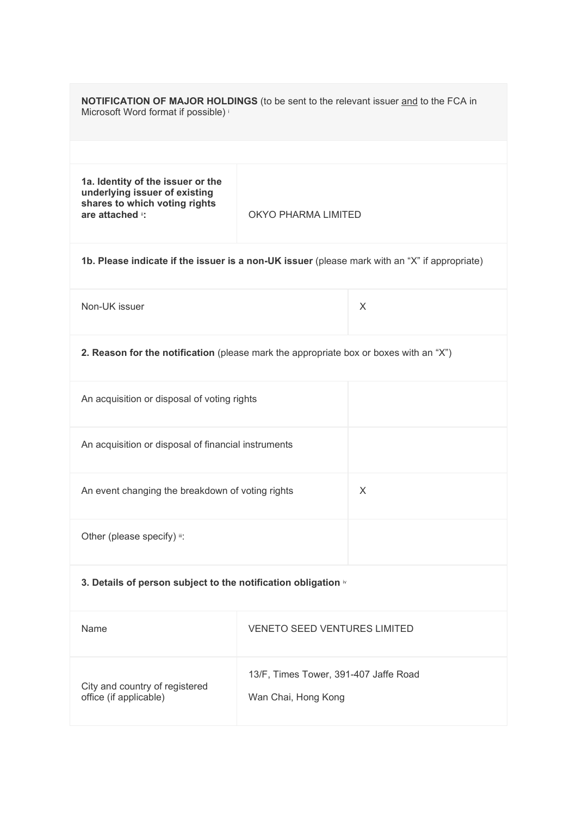| <b>NOTIFICATION OF MAJOR HOLDINGS</b> (to be sent to the relevant issuer and to the FCA in<br>Microsoft Word format if possible) i            |                                     |   |  |
|-----------------------------------------------------------------------------------------------------------------------------------------------|-------------------------------------|---|--|
|                                                                                                                                               |                                     |   |  |
| 1a. Identity of the issuer or the<br>underlying issuer of existing<br>shares to which voting rights<br>are attached i:<br>OKYO PHARMA LIMITED |                                     |   |  |
| 1b. Please indicate if the issuer is a non-UK issuer (please mark with an "X" if appropriate)                                                 |                                     |   |  |
| Non-UK issuer                                                                                                                                 |                                     | X |  |
| 2. Reason for the notification (please mark the appropriate box or boxes with an "X")                                                         |                                     |   |  |
| An acquisition or disposal of voting rights                                                                                                   |                                     |   |  |
| An acquisition or disposal of financial instruments                                                                                           |                                     |   |  |
| An event changing the breakdown of voting rights<br>X                                                                                         |                                     |   |  |
| Other (please specify) ii:                                                                                                                    |                                     |   |  |
| 3. Details of person subject to the notification obligation iv                                                                                |                                     |   |  |
| Name                                                                                                                                          | <b>VENETO SEED VENTURES LIMITED</b> |   |  |
| 13/F, Times Tower, 391-407 Jaffe Road<br>City and country of registered<br>office (if applicable)<br>Wan Chai, Hong Kong                      |                                     |   |  |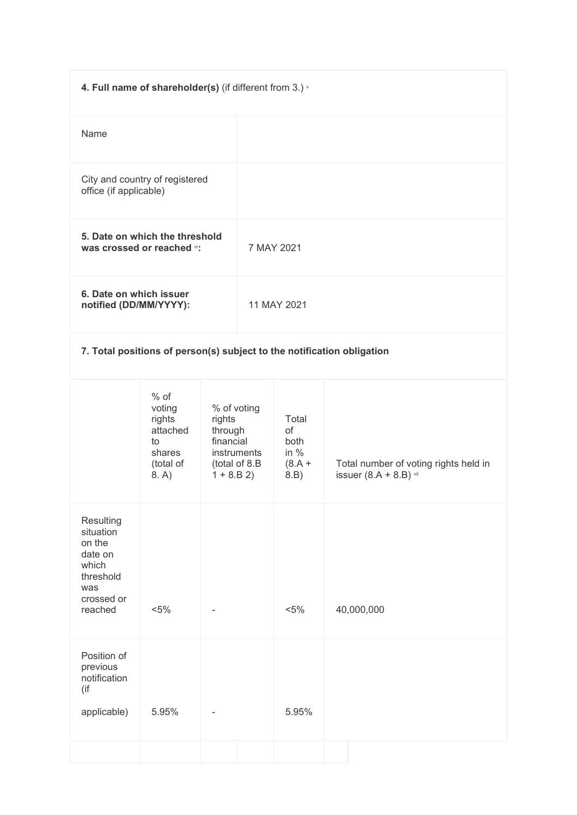| 4. Full name of shareholder(s) (if different from 3.) v                    |                                                                     |                                               |                              |                                        |                                                                        |
|----------------------------------------------------------------------------|---------------------------------------------------------------------|-----------------------------------------------|------------------------------|----------------------------------------|------------------------------------------------------------------------|
| Name                                                                       |                                                                     |                                               |                              |                                        |                                                                        |
| City and country of registered<br>office (if applicable)                   |                                                                     |                                               |                              |                                        |                                                                        |
| 5. Date on which the threshold<br>was crossed or reached vi:<br>7 MAY 2021 |                                                                     |                                               |                              |                                        |                                                                        |
| 6. Date on which issuer<br>notified (DD/MM/YYYY):                          |                                                                     |                                               |                              | 11 MAY 2021                            |                                                                        |
|                                                                            |                                                                     |                                               |                              |                                        | 7. Total positions of person(s) subject to the notification obligation |
|                                                                            | $%$ of<br>voting<br>rights<br>attached<br>to<br>shares<br>(total of | % of voting<br>rights<br>through<br>financial | instruments<br>(total of 8.B | Total<br>of<br>both<br>in $%$<br>(A.8) | Total number of voting rights held in                                  |

|                                   |  |  | . . | __ |  |
|-----------------------------------|--|--|-----|----|--|
| suer $(8.A + 8.B)$ $\frac{1}{10}$ |  |  |     |    |  |

|                                                                                                   | 8. A)   | $1 + 8.B 2$ | 8.B)    | issuer $(8.A + 8.B)$ vii |
|---------------------------------------------------------------------------------------------------|---------|-------------|---------|--------------------------|
| Resulting<br>situation<br>on the<br>date on<br>which<br>threshold<br>was<br>crossed or<br>reached | $< 5\%$ |             | $< 5\%$ | 40,000,000               |
| Position of<br>previous<br>notification<br>(if<br>applicable)                                     | 5.95%   |             | 5.95%   |                          |
|                                                                                                   |         |             |         |                          |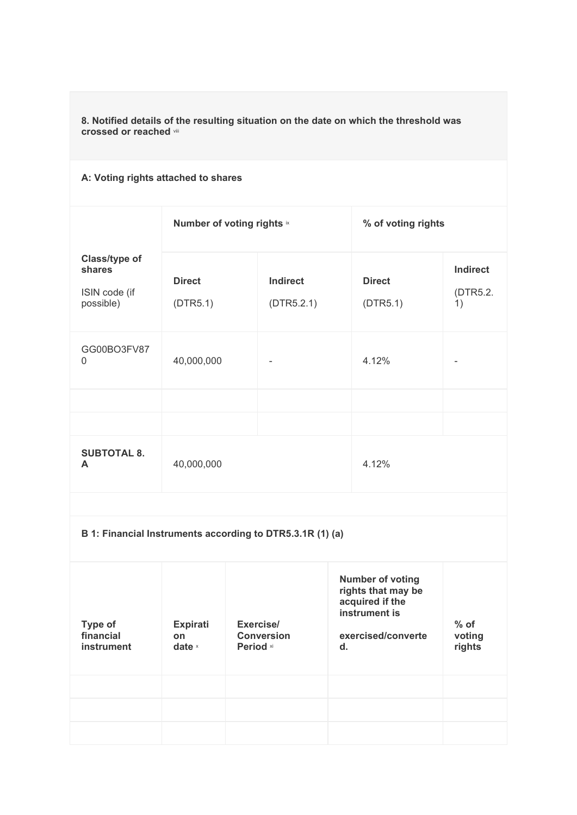**8. Notified details of the resulting situation on the date on which the threshold was crossed or reached** viii

## **A: Voting rights attached to shares**

|                                                       | Number of voting rights ix |                               | % of voting rights        |                                   |
|-------------------------------------------------------|----------------------------|-------------------------------|---------------------------|-----------------------------------|
| Class/type of<br>shares<br>ISIN code (if<br>possible) | <b>Direct</b><br>(DTR5.1)  | <b>Indirect</b><br>(DTR5.2.1) | <b>Direct</b><br>(DTR5.1) | <b>Indirect</b><br>(DTR5.2.<br>1) |
| GG00BO3FV87<br>$\Omega$                               | 40,000,000                 | $\overline{\phantom{a}}$      | 4.12%                     |                                   |
|                                                       |                            |                               |                           |                                   |
|                                                       |                            |                               |                           |                                   |
| <b>SUBTOTAL 8.</b><br>A                               | 40,000,000                 |                               | 4.12%                     |                                   |

|                                    |                                   | B 1: Financial Instruments according to DTR5.3.1R (1) (a) |                                                                                                                           |                            |
|------------------------------------|-----------------------------------|-----------------------------------------------------------|---------------------------------------------------------------------------------------------------------------------------|----------------------------|
| Type of<br>financial<br>instrument | <b>Expirati</b><br>on<br>date $x$ | Exercise/<br><b>Conversion</b><br>Period xi               | <b>Number of voting</b><br>rights that may be<br>acquired if the<br>instrument is<br>exercised/converte<br>$\mathbf{d}$ . | $%$ of<br>voting<br>rights |
|                                    |                                   |                                                           |                                                                                                                           |                            |
|                                    |                                   |                                                           |                                                                                                                           |                            |
|                                    |                                   |                                                           |                                                                                                                           |                            |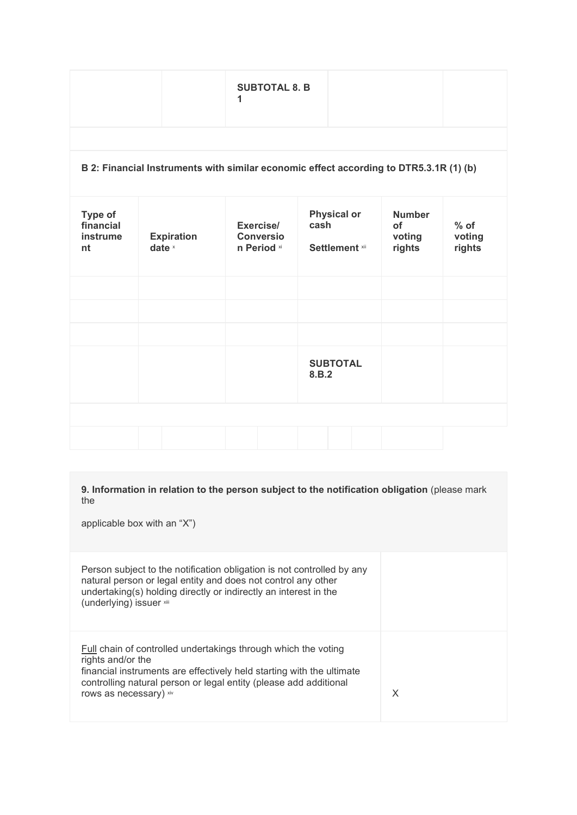## **B 2: Financial Instruments with similar economic effect according to DTR5.3.1R (1) (b)**

| Type of<br>financial<br>instrume<br>nt | <b>Expiration</b><br>date $x$ | Exercise/<br><b>Conversio</b><br>n Period xi | <b>Physical or</b><br>cash<br>Settlement xii | <b>Number</b><br>of<br>voting<br>rights | $%$ of<br>voting<br>rights |
|----------------------------------------|-------------------------------|----------------------------------------------|----------------------------------------------|-----------------------------------------|----------------------------|
|                                        |                               |                                              |                                              |                                         |                            |
|                                        |                               |                                              | <b>SUBTOTAL</b><br>8.B.2                     |                                         |                            |
|                                        |                               |                                              |                                              |                                         |                            |

**9. Information in relation to the person subject to the notification obligation** (please mark the

applicable box with an "X")

Person subject to the notification obligation is not controlled by any natural person or legal entity and does not control any other undertaking(s) holding directly or indirectly an interest in the (underlying) issuer xiii

Full chain of controlled undertakings through which the voting rights and/or the financial instruments are effectively held starting with the ultimate controlling natural person or legal entity (please add additional rows as necessary) xiv X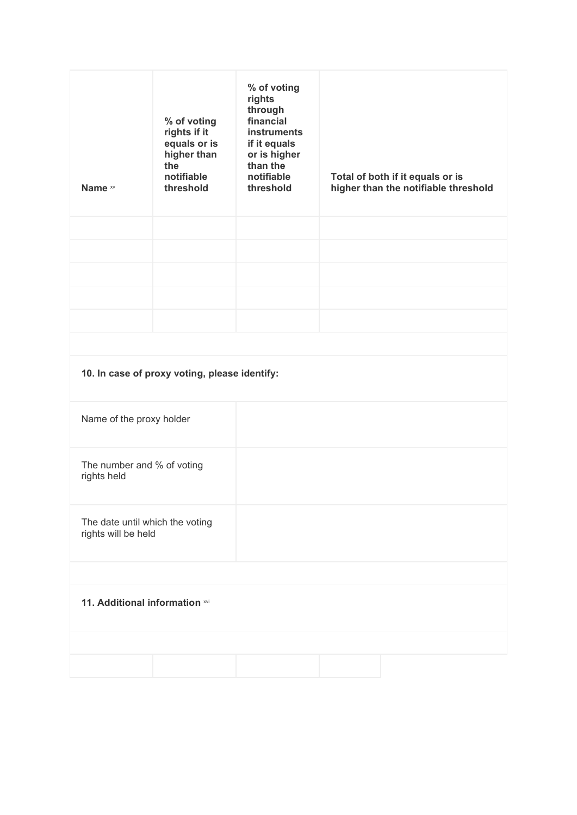| Name xv                                                | % of voting<br>rights if it<br>equals or is<br>higher than<br>the<br>notifiable<br>threshold | % of voting<br>rights<br>through<br>financial<br><b>instruments</b><br>if it equals<br>or is higher<br>than the<br>notifiable<br>threshold | Total of both if it equals or is<br>higher than the notifiable threshold |
|--------------------------------------------------------|----------------------------------------------------------------------------------------------|--------------------------------------------------------------------------------------------------------------------------------------------|--------------------------------------------------------------------------|
|                                                        |                                                                                              |                                                                                                                                            |                                                                          |
|                                                        |                                                                                              |                                                                                                                                            |                                                                          |
|                                                        |                                                                                              |                                                                                                                                            |                                                                          |
|                                                        |                                                                                              |                                                                                                                                            |                                                                          |
|                                                        |                                                                                              |                                                                                                                                            |                                                                          |
|                                                        |                                                                                              |                                                                                                                                            |                                                                          |
|                                                        | 10. In case of proxy voting, please identify:                                                |                                                                                                                                            |                                                                          |
| Name of the proxy holder                               |                                                                                              |                                                                                                                                            |                                                                          |
| The number and % of voting<br>rights held              |                                                                                              |                                                                                                                                            |                                                                          |
| The date until which the voting<br>rights will be held |                                                                                              |                                                                                                                                            |                                                                          |
|                                                        |                                                                                              |                                                                                                                                            |                                                                          |
| 11. Additional information xvi                         |                                                                                              |                                                                                                                                            |                                                                          |
|                                                        |                                                                                              |                                                                                                                                            |                                                                          |
|                                                        |                                                                                              |                                                                                                                                            |                                                                          |